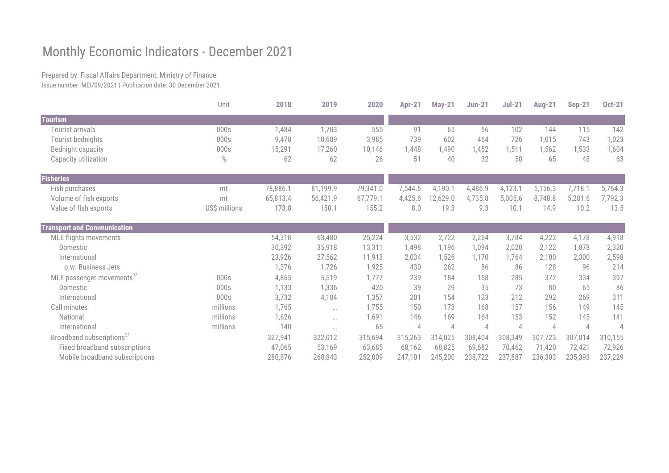## Monthly Economic Indicators - December 2021

Prepared by: Fiscal Affairs Department, Ministry of Finance Issue number: MEI/09/2021 | Publication date: 30 December 2021

|                                       | Unit          | 2018     | 2019      | 2020     | <b>Apr-21</b>  | <b>May-21</b>  | $Jun-21$ | $Jul-21$ | <b>Aug-21</b>  | <b>Sep-21</b> | <b>Oct-21</b> |
|---------------------------------------|---------------|----------|-----------|----------|----------------|----------------|----------|----------|----------------|---------------|---------------|
| <b>Tourism</b>                        |               |          |           |          |                |                |          |          |                |               |               |
| Tourist arrivals                      | 000s          | 1,484    | 1,703     | 555      | 91             | 65             | 56       | 102      | 144            | 115           | 142           |
| Tourist bednights                     | 000s          | 9,478    | 10,689    | 3,985    | 739            | 602            | 464      | 726      | 1,015          | 743           | 1,023         |
| Bednight capacity                     | 000s          | 15,291   | 17,260    | 10,146   | 1,448          | 1,490          | 1,452    | 1,511    | 1,562          | 1,533         | 1,604         |
| Capacity utilization                  | $\%$          | 62       | 62        | 26       | 51             | 40             | 32       | 50       | 65             | 48            | 63            |
| <b>Fisheries</b>                      |               |          |           |          |                |                |          |          |                |               |               |
| Fish purchases                        | mt            | 78,886.1 | 81,199.9  | 79,341.0 | 7,544.6        | 4,190.1        | 4,486.9  | 4,123.1  | 5,156.3        | 7,718.1       | 5,764.3       |
| Volume of fish exports                | mt            | 65,813.4 | 56,421.9  | 67,779.1 | 4,425.6        | 12,629.0       | 4,735.8  | 5,005.6  | 8,748.8        | 5,281.6       | 7,792.3       |
| Value of fish exports                 | US\$ millions | 173.8    | 150.1     | 155.2    | 8.0            | 19.3           | 9.3      | 10.1     | 14.9           | 10.2          | 13.5          |
| <b>Transport and Communication</b>    |               |          |           |          |                |                |          |          |                |               |               |
| <b>MLE flights movements</b>          |               | 54,318   | 63,480    | 25,224   | 3,532          | 2,722          | 2,264    | 3,784    | 4,222          | 4,178         | 4,918         |
| Domestic                              |               | 30,392   | 35,918    | 13,311   | 1,498          | 1,196          | 1,094    | 2,020    | 2,122          | 1,878         | 2,320         |
| International                         |               | 23,926   | 27,562    | 11,913   | 2,034          | 1,526          | 1,170    | 1,764    | 2,100          | 2,300         | 2,598         |
| o.w. Business Jets                    |               | 1,376    | 1,726     | 1,925    | 430            | 262            | 86       | 86       | 128            | 96            | 214           |
| MLE passenger movements <sup>1/</sup> | 000s          | 4,865    | 5,519     | 1,777    | 239            | 184            | 158      | 285      | 372            | 334           | 397           |
| Domestic                              | 000s          | 1,133    | 1,336     | 420      | 39             | 29             | 35       | 73       | 80             | 65            | 86            |
| International                         | 000s          | 3,732    | 4,184     | 1,357    | 201            | 154            | 123      | 212      | 292            | 269           | 311           |
| Call minutes                          | millions      | 1,765    | $\ddotsc$ | 1,755    | 150            | 173            | 168      | 157      | 156            | 149           | 145           |
| National                              | millions      | 1,626    | $\cdots$  | 1,691    | 146            | 169            | 164      | 153      | 152            | 145           | 141           |
| International                         | millions      | 140      | $\cdots$  | 65       | $\overline{4}$ | $\overline{A}$ | 4        | 4        | $\overline{4}$ | 4             |               |
| Broadband subscriptions <sup>2/</sup> |               | 327,941  | 322,012   | 315,694  | 315,263        | 314,025        | 308,404  | 308,349  | 307,723        | 307,814       | 310,155       |
| Fixed broadband subscriptions         |               | 47,065   | 53,169    | 63,685   | 68,162         | 68,825         | 69,682   | 70,462   | 71,420         | 72,421        | 72,926        |
| Mobile broadband subscriptions        |               | 280,876  | 268,843   | 252,009  | 247,101        | 245,200        | 238,722  | 237,887  | 236,303        | 235,393       | 237,229       |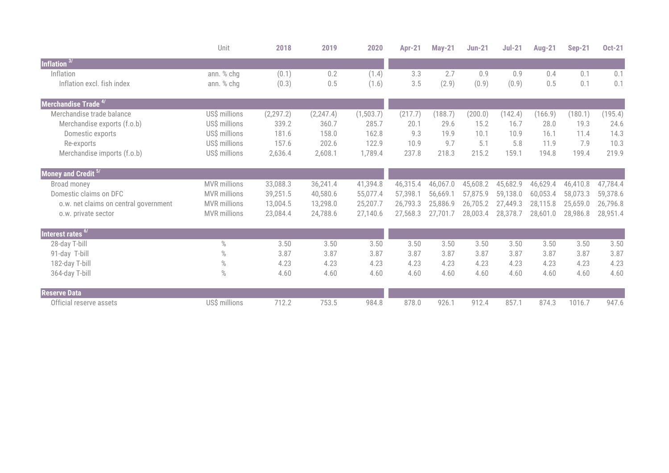|                                       | Unit                | 2018       | 2019       | 2020      | <b>Apr-21</b> | <b>May-21</b> | <b>Jun-21</b> | $Jul-21$ | <b>Aug-21</b> | <b>Sep-21</b> | <b>Oct-21</b> |
|---------------------------------------|---------------------|------------|------------|-----------|---------------|---------------|---------------|----------|---------------|---------------|---------------|
| Inflation $3/$                        |                     |            |            |           |               |               |               |          |               |               |               |
| Inflation                             | ann. % chg          | (0.1)      | 0.2        | (1.4)     | 3.3           | 2.7           | 0.9           | 0.9      | 0.4           | 0.1           | 0.1           |
| Inflation excl. fish index            | ann. % chg          | (0.3)      | 0.5        | (1.6)     | 3.5           | (2.9)         | (0.9)         | (0.9)    | 0.5           | 0.1           | 0.1           |
| Merchandise Trade 4/                  |                     |            |            |           |               |               |               |          |               |               |               |
| Merchandise trade balance             | US\$ millions       | (2, 297.2) | (2, 247.4) | (1,503.7) | (217.7)       | (188.7)       | (200.0)       | (142.4)  | (166.9)       | (180.1)       | (195.4)       |
| Merchandise exports (f.o.b)           | US\$ millions       | 339.2      | 360.7      | 285.7     | 20.1          | 29.6          | 15.2          | 16.7     | 28.0          | 19.3          | 24.6          |
| Domestic exports                      | US\$ millions       | 181.6      | 158.0      | 162.8     | 9.3           | 19.9          | 10.1          | 10.9     | 16.1          | 11.4          | 14.3          |
| Re-exports                            | US\$ millions       | 157.6      | 202.6      | 122.9     | 10.9          | 9.7           | 5.1           | 5.8      | 11.9          | 7.9           | 10.3          |
| Merchandise imports (f.o.b)           | US\$ millions       | 2,636.4    | 2,608.1    | 1,789.4   | 237.8         | 218.3         | 215.2         | 159.1    | 194.8         | 199.4         | 219.9         |
| Money and Credit <sup>5/1</sup>       |                     |            |            |           |               |               |               |          |               |               |               |
| Broad money                           | <b>MVR</b> millions | 33,088.3   | 36,241.4   | 41,394.8  | 46,315.4      | 46,067.0      | 45,608.2      | 45,682.9 | 46,629.4      | 46,410.8      | 47,784.4      |
| Domestic claims on DFC                | <b>MVR</b> millions | 39,251.5   | 40,580.6   | 55,077.4  | 57,398.1      | 56,669.1      | 57,875.9      | 59,138.0 | 60,053.4      | 58,073.3      | 59,378.6      |
| o.w. net claims on central government | <b>MVR</b> millions | 13,004.5   | 13,298.0   | 25,207.7  | 26,793.3      | 25,886.9      | 26,705.2      | 27,449.3 | 28,115.8      | 25,659.0      | 26,796.8      |
| o.w. private sector                   | <b>MVR</b> millions | 23,084.4   | 24,788.6   | 27,140.6  | 27,568.3      | 27,701.7      | 28,003.4      | 28,378.7 | 28,601.0      | 28,986.8      | 28,951.4      |
| Interest rates <sup>6/1</sup>         |                     |            |            |           |               |               |               |          |               |               |               |
| 28-day T-bill                         | $\%$                | 3.50       | 3.50       | 3.50      | 3.50          | 3.50          | 3.50          | 3.50     | 3.50          | 3.50          | 3.50          |
| 91-day T-bill                         | $\%$                | 3.87       | 3.87       | 3.87      | 3.87          | 3.87          | 3.87          | 3.87     | 3.87          | 3.87          | 3.87          |
| 182-day T-bill                        | $\%$                | 4.23       | 4.23       | 4.23      | 4.23          | 4.23          | 4.23          | 4.23     | 4.23          | 4.23          | 4.23          |
| 364-day T-bill                        | %                   | 4.60       | 4.60       | 4.60      | 4.60          | 4.60          | 4.60          | 4.60     | 4.60          | 4.60          | 4.60          |
| <b>Reserve Data</b>                   |                     |            |            |           |               |               |               |          |               |               |               |
| Official reserve assets               | US\$ millions       | 712.2      | 753.5      | 984.8     | 878.0         | 926.1         | 912.4         | 857.1    | 874.3         | 1016.7        | 947.6         |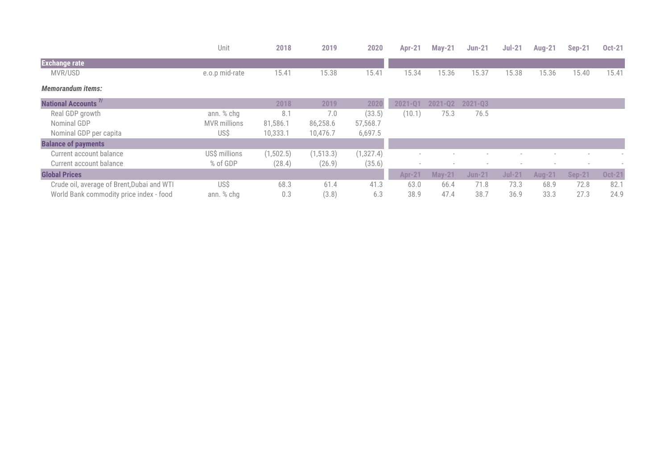|                                            | Unit                | 2018       | 2019       | 2020       | <b>Apr-21</b> | $May-21$      | <b>Jun-21</b> | $Jul-21$ | <b>Aug-21</b> | <b>Sep-21</b> | <b>Oct-21</b> |
|--------------------------------------------|---------------------|------------|------------|------------|---------------|---------------|---------------|----------|---------------|---------------|---------------|
| <b>Exchange rate</b>                       |                     |            |            |            |               |               |               |          |               |               |               |
| MVR/USD                                    | e.o.p mid-rate      | 15.41      | 15.38      | 15.41      | 15.34         | 15.36         | 15.37         | 15.38    | 15.36         | 15.40         | 15.41         |
| <b>Memorandum items:</b>                   |                     |            |            |            |               |               |               |          |               |               |               |
| <b>National Accounts<sup>7/</sup></b>      |                     | 2018       | 2019       | 2020       | $2021 - Q1$   | $2021 - Q2$   | $2021 - Q3$   |          |               |               |               |
| Real GDP growth                            | ann. % chg          | 8.1        | 7.0        | (33.5)     | (10.1)        | 75.3          | 76.5          |          |               |               |               |
| Nominal GDP                                | <b>MVR</b> millions | 81,586.1   | 86,258.6   | 57,568.7   |               |               |               |          |               |               |               |
| Nominal GDP per capita                     | US\$                | 10,333.1   | 10,476.7   | 6,697.5    |               |               |               |          |               |               |               |
| <b>Balance of payments</b>                 |                     |            |            |            |               |               |               |          |               |               |               |
| Current account balance                    | US\$ millions       | (1, 502.5) | (1, 513.3) | (1, 327.4) |               |               |               |          |               |               |               |
| Current account balance                    | % of GDP            | (28.4)     | (26.9)     | (35.6)     | $\sim$        |               |               |          |               |               |               |
| <b>Global Prices</b>                       |                     |            |            |            | <b>Apr-21</b> | <b>May-21</b> | <b>Jun-21</b> | $Jul-21$ | <b>Aug-21</b> | <b>Sep-21</b> | <b>Oct-21</b> |
| Crude oil, average of Brent, Dubai and WTI | US\$                | 68.3       | 61.4       | 41.3       | 63.0          | 66.4          | 71.8          | 73.3     | 68.9          | 72.8          | 82.1          |
| World Bank commodity price index - food    | ann. % chg          | 0.3        | (3.8)      | 6.3        | 38.9          | 47.4          | 38.7          | 36.9     | 33.3          | 27.3          | 24.9          |